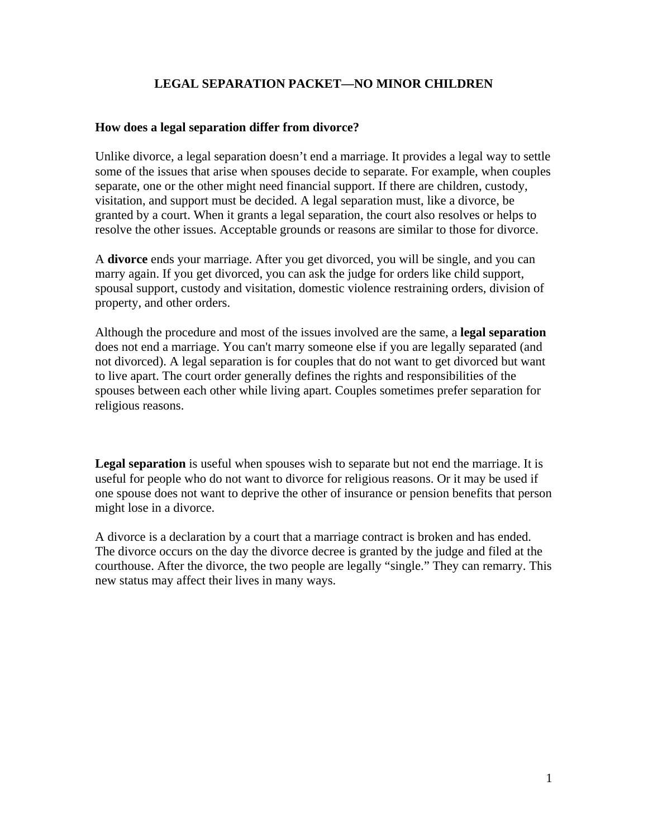# **LEGAL SEPARATION PACKET—NO MINOR CHILDREN**

# **How does a legal separation differ from divorce?**

Unlike divorce, a legal separation doesn't end a marriage. It provides a legal way to settle some of the issues that arise when spouses decide to separate. For example, when couples separate, one or the other might need financial support. If there are children, custody, visitation, and support must be decided. A legal separation must, like a divorce, be granted by a court. When it grants a legal separation, the court also resolves or helps to resolve the other issues. Acceptable grounds or reasons are similar to those for divorce.

A **divorce** ends your marriage. After you get divorced, you will be single, and you can marry again. If you get divorced, you can ask the judge for orders like child support, spousal support, custody and visitation, domestic violence restraining orders, division of property, and other orders.

Although the procedure and most of the issues involved are the same, a **legal separation** does not end a marriage. You can't marry someone else if you are legally separated (and not divorced). A legal separation is for couples that do not want to get divorced but want to live apart. The court order generally defines the rights and responsibilities of the spouses between each other while living apart. Couples sometimes prefer separation for religious reasons.

**Legal separation** is useful when spouses wish to separate but not end the marriage. It is useful for people who do not want to divorce for religious reasons. Or it may be used if one spouse does not want to deprive the other of insurance or pension benefits that person might lose in a divorce.

A divorce is a declaration by a court that a marriage contract is broken and has ended. The divorce occurs on the day the divorce decree is granted by the judge and filed at the courthouse. After the divorce, the two people are legally "single." They can remarry. This new status may affect their lives in many ways.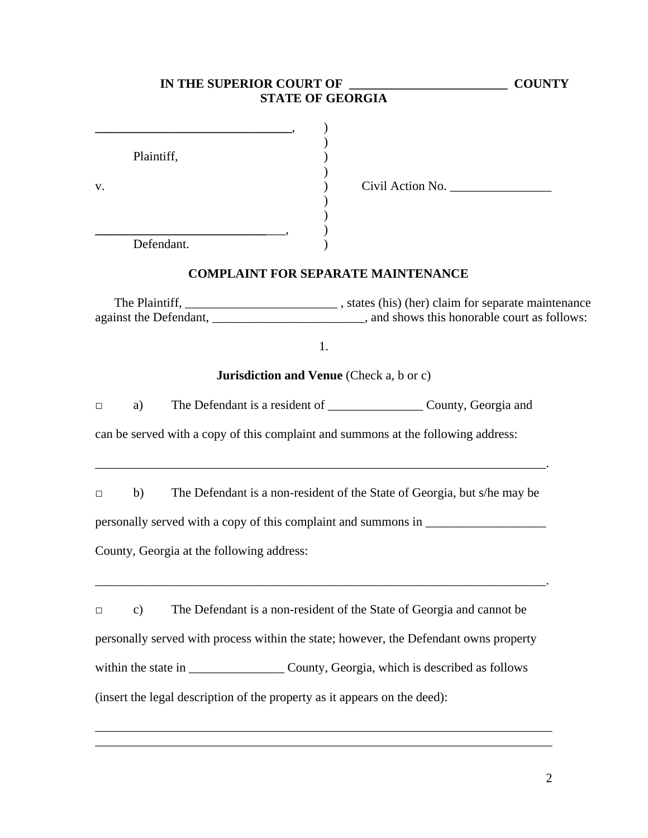| IN THE SUPERIOR COURT OF                                                                                         | <b>COUNTY</b>                                                                                   |
|------------------------------------------------------------------------------------------------------------------|-------------------------------------------------------------------------------------------------|
| <b>STATE OF GEORGIA</b>                                                                                          |                                                                                                 |
| Plaintiff,<br>V.<br>Defendant.                                                                                   | Civil Action No.                                                                                |
|                                                                                                                  |                                                                                                 |
| <b>COMPLAINT FOR SEPARATE MAINTENANCE</b>                                                                        |                                                                                                 |
|                                                                                                                  | The Plaintiff, _____________________________, states (his) (her) claim for separate maintenance |
| 1.                                                                                                               |                                                                                                 |
| <b>Jurisdiction and Venue</b> (Check a, b or c)                                                                  |                                                                                                 |
| a)<br>$\Box$                                                                                                     | The Defendant is a resident of _______________________ County, Georgia and                      |
| can be served with a copy of this complaint and summons at the following address:                                |                                                                                                 |
| b)<br>$\Box$                                                                                                     | The Defendant is a non-resident of the State of Georgia, but s/he may be                        |
| personally served with a copy of this complaint and summons in __________________                                |                                                                                                 |
| County, Georgia at the following address:                                                                        |                                                                                                 |
| $\mathbf{c})$<br>$\Box$<br>personally served with process within the state; however, the Defendant owns property | The Defendant is a non-resident of the State of Georgia and cannot be                           |
| within the state in _________________________County, Georgia, which is described as follows                      |                                                                                                 |
| (insert the legal description of the property as it appears on the deed):                                        |                                                                                                 |
|                                                                                                                  |                                                                                                 |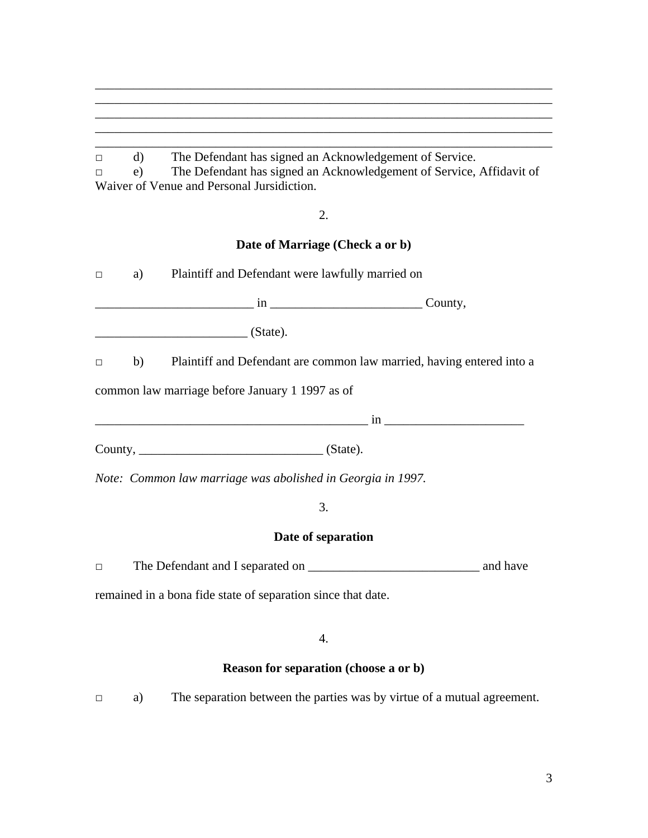# □ d) The Defendant has signed an Acknowledgement of Service.

|  | The Defendant has signed an Acknowledgement of Service, Affidavit of |  |  |
|--|----------------------------------------------------------------------|--|--|
|  | Waiver of Venue and Personal Jursidiction.                           |  |  |

\_\_\_\_\_\_\_\_\_\_\_\_\_\_\_\_\_\_\_\_\_\_\_\_\_\_\_\_\_\_\_\_\_\_\_\_\_\_\_\_\_\_\_\_\_\_\_\_\_\_\_\_\_\_\_\_\_\_\_\_\_\_\_\_\_\_\_\_\_\_\_\_ \_\_\_\_\_\_\_\_\_\_\_\_\_\_\_\_\_\_\_\_\_\_\_\_\_\_\_\_\_\_\_\_\_\_\_\_\_\_\_\_\_\_\_\_\_\_\_\_\_\_\_\_\_\_\_\_\_\_\_\_\_\_\_\_\_\_\_\_\_\_\_\_ \_\_\_\_\_\_\_\_\_\_\_\_\_\_\_\_\_\_\_\_\_\_\_\_\_\_\_\_\_\_\_\_\_\_\_\_\_\_\_\_\_\_\_\_\_\_\_\_\_\_\_\_\_\_\_\_\_\_\_\_\_\_\_\_\_\_\_\_\_\_\_\_ \_\_\_\_\_\_\_\_\_\_\_\_\_\_\_\_\_\_\_\_\_\_\_\_\_\_\_\_\_\_\_\_\_\_\_\_\_\_\_\_\_\_\_\_\_\_\_\_\_\_\_\_\_\_\_\_\_\_\_\_\_\_\_\_\_\_\_\_\_\_\_\_ \_\_\_\_\_\_\_\_\_\_\_\_\_\_\_\_\_\_\_\_\_\_\_\_\_\_\_\_\_\_\_\_\_\_\_\_\_\_\_\_\_\_\_\_\_\_\_\_\_\_\_\_\_\_\_\_\_\_\_\_\_\_\_\_\_\_\_\_\_\_\_\_

# 2.

# **Date of Marriage (Check a or b)**

| $\Box$ | a) Plaintiff and Defendant were lawfully married on                      |  |
|--------|--------------------------------------------------------------------------|--|
|        |                                                                          |  |
|        | $\overline{\phantom{a}}$ (State).                                        |  |
| $\Box$ | b) Plaintiff and Defendant are common law married, having entered into a |  |
|        | common law marriage before January 1 1997 as of                          |  |
|        |                                                                          |  |
|        | County, $\qquad \qquad$ (State).                                         |  |
|        | Note: Common law marriage was abolished in Georgia in 1997.              |  |
|        | 3.                                                                       |  |
|        | Date of separation                                                       |  |
| $\Box$ |                                                                          |  |

remained in a bona fide state of separation since that date.

4.

# **Reason for separation (choose a or b)**

□ a) The separation between the parties was by virtue of a mutual agreement.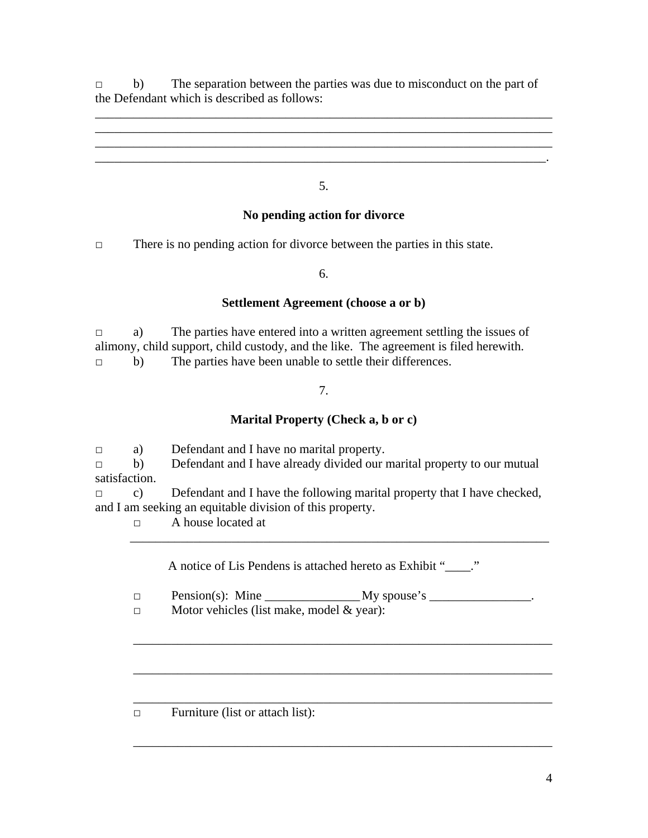□ b) The separation between the parties was due to misconduct on the part of the Defendant which is described as follows:

\_\_\_\_\_\_\_\_\_\_\_\_\_\_\_\_\_\_\_\_\_\_\_\_\_\_\_\_\_\_\_\_\_\_\_\_\_\_\_\_\_\_\_\_\_\_\_\_\_\_\_\_\_\_\_\_\_\_\_\_\_\_\_\_\_\_\_\_\_\_\_\_ \_\_\_\_\_\_\_\_\_\_\_\_\_\_\_\_\_\_\_\_\_\_\_\_\_\_\_\_\_\_\_\_\_\_\_\_\_\_\_\_\_\_\_\_\_\_\_\_\_\_\_\_\_\_\_\_\_\_\_\_\_\_\_\_\_\_\_\_\_\_\_\_

5.

\_\_\_\_\_\_\_\_\_\_\_\_\_\_\_\_\_\_\_\_\_\_\_\_\_\_\_\_\_\_\_\_\_\_\_\_\_\_\_\_\_\_\_\_\_\_\_\_\_\_\_\_\_\_\_\_\_\_\_\_\_\_\_\_\_\_\_\_\_\_\_.

# **No pending action for divorce**

□ There is no pending action for divorce between the parties in this state.

6.

# **Settlement Agreement (choose a or b)**

□ a) The parties have entered into a written agreement settling the issues of alimony, child support, child custody, and the like. The agreement is filed herewith. □ b) The parties have been unable to settle their differences.

# 7.

# **Marital Property (Check a, b or c)**

□ a) Defendant and I have no marital property. □ b) Defendant and I have already divided our marital property to our mutual satisfaction.

 $\Box$  c) Defendant and I have the following marital property that I have checked, and I am seeking an equitable division of this property.

□ A house located at

A notice of Lis Pendens is attached hereto as Exhibit "..."

\_\_\_\_\_\_\_\_\_\_\_\_\_\_\_\_\_\_\_\_\_\_\_\_\_\_\_\_\_\_\_\_\_\_\_\_\_\_\_\_\_\_\_\_\_\_\_\_\_\_\_\_\_\_\_\_\_\_\_\_\_\_\_\_\_\_

\_\_\_\_\_\_\_\_\_\_\_\_\_\_\_\_\_\_\_\_\_\_\_\_\_\_\_\_\_\_\_\_\_\_\_\_\_\_\_\_\_\_\_\_\_\_\_\_\_\_\_\_\_\_\_\_\_\_\_\_\_\_\_\_\_\_

\_\_\_\_\_\_\_\_\_\_\_\_\_\_\_\_\_\_\_\_\_\_\_\_\_\_\_\_\_\_\_\_\_\_\_\_\_\_\_\_\_\_\_\_\_\_\_\_\_\_\_\_\_\_\_\_\_\_\_\_\_\_\_\_\_\_

\_\_\_\_\_\_\_\_\_\_\_\_\_\_\_\_\_\_\_\_\_\_\_\_\_\_\_\_\_\_\_\_\_\_\_\_\_\_\_\_\_\_\_\_\_\_\_\_\_\_\_\_\_\_\_\_\_\_\_\_\_\_\_\_\_\_

□ Pension(s): Mine \_\_\_\_\_\_\_\_\_\_\_\_\_\_\_ My spouse's \_\_\_\_\_\_\_\_\_\_\_\_\_\_\_\_.

\_\_\_\_\_\_\_\_\_\_\_\_\_\_\_\_\_\_\_\_\_\_\_\_\_\_\_\_\_\_\_\_\_\_\_\_\_\_\_\_\_\_\_\_\_\_\_\_\_\_\_\_\_\_\_\_\_\_\_\_\_\_\_\_\_\_

□ Motor vehicles (list make, model & year):

□ Furniture (list or attach list):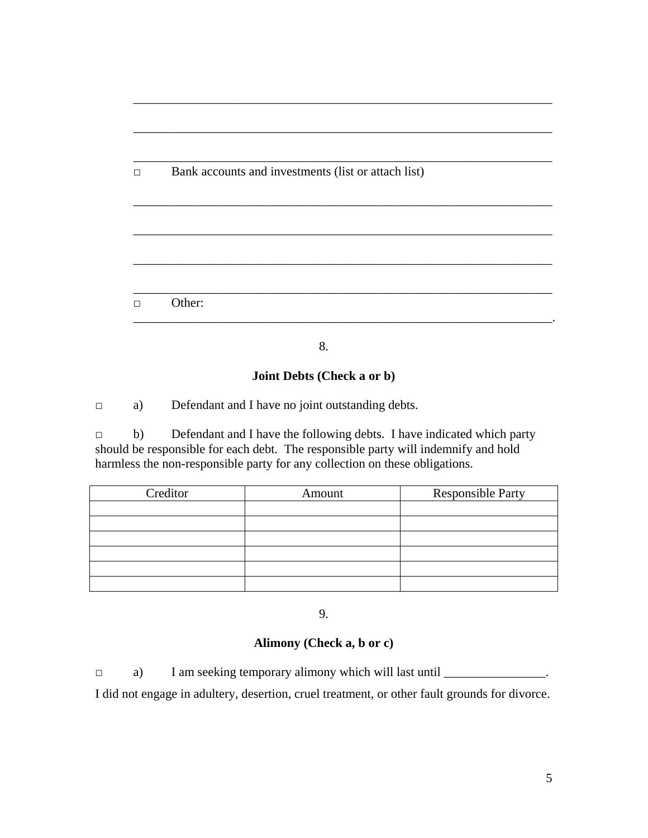| П | Bank accounts and investments (list or attach list) |
|---|-----------------------------------------------------|
|   |                                                     |
|   |                                                     |
|   |                                                     |
|   |                                                     |
|   |                                                     |

\_\_\_\_\_\_\_\_\_\_\_\_\_\_\_\_\_\_\_\_\_\_\_\_\_\_\_\_\_\_\_\_\_\_\_\_\_\_\_\_\_\_\_\_\_\_\_\_\_\_\_\_\_\_\_\_\_\_\_\_\_\_\_\_\_\_

8.

# **Joint Debts (Check a or b)**

□ a) Defendant and I have no joint outstanding debts.

□ b) Defendant and I have the following debts. I have indicated which party should be responsible for each debt. The responsible party will indemnify and hold harmless the non-responsible party for any collection on these obligations.

| Creditor | Amount | <b>Responsible Party</b> |
|----------|--------|--------------------------|
|          |        |                          |
|          |        |                          |
|          |        |                          |
|          |        |                          |
|          |        |                          |
|          |        |                          |

9.

# **Alimony (Check a, b or c)**

□ a) I am seeking temporary alimony which will last until \_\_\_\_\_\_\_\_\_\_\_\_\_\_\_\_\_\_. I did not engage in adultery, desertion, cruel treatment, or other fault grounds for divorce.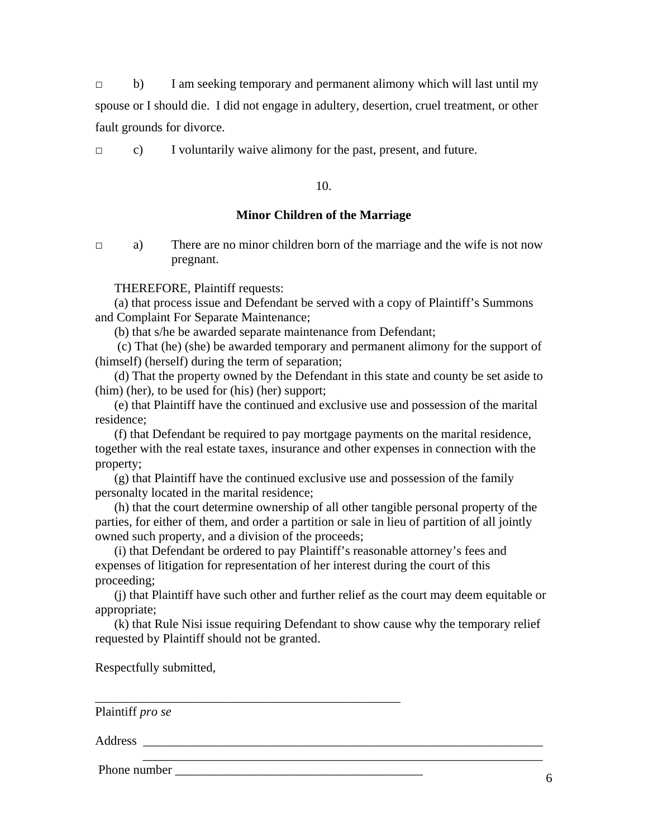□ b) I am seeking temporary and permanent alimony which will last until my spouse or I should die. I did not engage in adultery, desertion, cruel treatment, or other fault grounds for divorce.

□ c) I voluntarily waive alimony for the past, present, and future.

10.

## **Minor Children of the Marriage**

□ a) There are no minor children born of the marriage and the wife is not now pregnant.

THEREFORE, Plaintiff requests:

(a) that process issue and Defendant be served with a copy of Plaintiff's Summons and Complaint For Separate Maintenance;

(b) that s/he be awarded separate maintenance from Defendant;

 (c) That (he) (she) be awarded temporary and permanent alimony for the support of (himself) (herself) during the term of separation;

(d) That the property owned by the Defendant in this state and county be set aside to (him) (her), to be used for (his) (her) support;

(e) that Plaintiff have the continued and exclusive use and possession of the marital residence;

(f) that Defendant be required to pay mortgage payments on the marital residence, together with the real estate taxes, insurance and other expenses in connection with the property;

(g) that Plaintiff have the continued exclusive use and possession of the family personalty located in the marital residence;

(h) that the court determine ownership of all other tangible personal property of the parties, for either of them, and order a partition or sale in lieu of partition of all jointly owned such property, and a division of the proceeds;

(i) that Defendant be ordered to pay Plaintiff's reasonable attorney's fees and expenses of litigation for representation of her interest during the court of this proceeding;

\_\_\_\_\_\_\_\_\_\_\_\_\_\_\_\_\_\_\_\_\_\_\_\_\_\_\_\_\_\_\_\_\_\_\_\_\_\_\_\_\_\_\_\_\_\_\_\_

(j) that Plaintiff have such other and further relief as the court may deem equitable or appropriate;

(k) that Rule Nisi issue requiring Defendant to show cause why the temporary relief requested by Plaintiff should not be granted.

\_\_\_\_\_\_\_\_\_\_\_\_\_\_\_\_\_\_\_\_\_\_\_\_\_\_\_\_\_\_\_\_\_\_\_\_\_\_\_\_\_\_\_\_\_\_\_\_\_\_\_\_\_\_\_\_\_\_\_\_\_\_\_

Respectfully submitted,

Plaintiff *pro se* 

Address **and a set of the set of the set of the set of the set of the set of the set of the set of the set of the set of the set of the set of the set of the set of the set of the set of the set of the set of the set of th** 

Phone number \_\_\_\_\_\_\_\_\_\_\_\_\_\_\_\_\_\_\_\_\_\_\_\_\_\_\_\_\_\_\_\_\_\_\_\_\_\_\_ <sup>6</sup>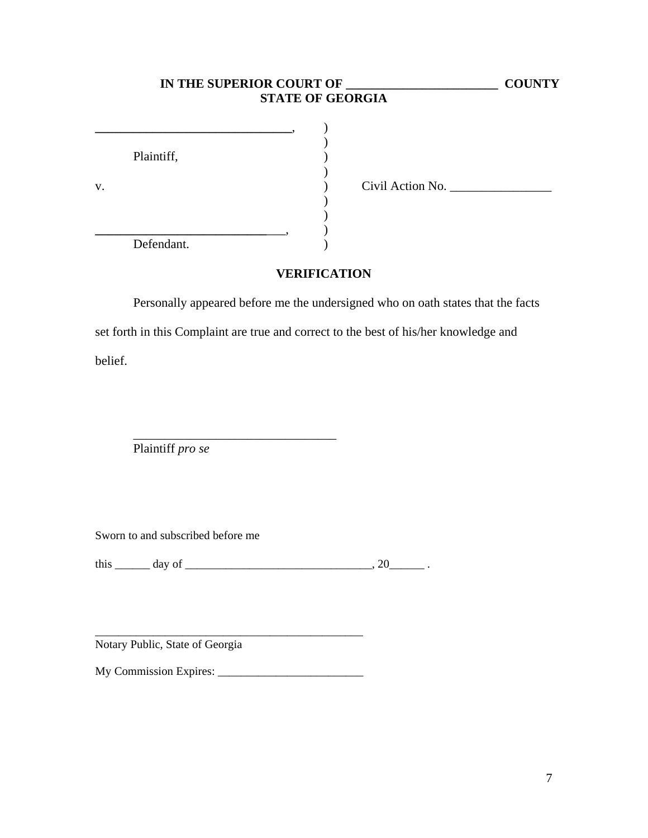|    | IN THE SUPERIOR COURT OF | <b>STATE OF GEORGIA</b> |                  | <b>COUNTY</b> |
|----|--------------------------|-------------------------|------------------|---------------|
| v. | Plaintiff,               |                         | Civil Action No. |               |
|    | Defendant.               |                         |                  |               |

# **VERIFICATION**

Personally appeared before me the undersigned who on oath states that the facts set forth in this Complaint are true and correct to the best of his/her knowledge and belief.

Plaintiff *pro se*

Sworn to and subscribed before me

this \_\_\_\_\_\_ day of \_\_\_\_\_\_\_\_\_\_\_\_\_\_\_\_\_\_\_\_\_\_\_\_\_\_\_\_\_\_\_\_, 20\_\_\_\_\_\_ .

\_\_\_\_\_\_\_\_\_\_\_\_\_\_\_\_\_\_\_\_\_\_\_\_\_\_\_\_\_\_\_\_

Notary Public, State of Georgia

My Commission Expires: \_\_\_\_\_\_\_\_\_\_\_\_\_\_\_\_\_\_\_\_\_\_\_\_\_

\_\_\_\_\_\_\_\_\_\_\_\_\_\_\_\_\_\_\_\_\_\_\_\_\_\_\_\_\_\_\_\_\_\_\_\_\_\_\_\_\_\_\_\_\_\_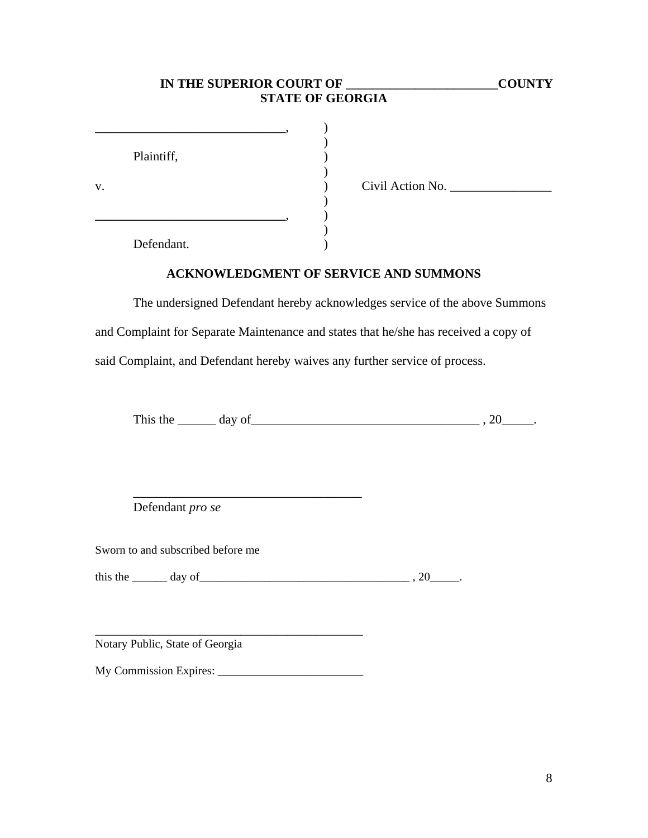# **IN THE SUPERIOR COURT OF \_\_\_\_\_\_\_\_\_\_\_\_\_\_\_\_\_\_\_\_\_\_\_\_COUNTY STATE OF GEORGIA**

|    | Plaintiff, |                  |
|----|------------|------------------|
|    |            |                  |
| V. |            | Civil Action No. |
|    |            |                  |
|    |            |                  |
|    |            |                  |
|    | Defendant. |                  |

**ACKNOWLEDGMENT OF SERVICE AND SUMMONS**

The undersigned Defendant hereby acknowledges service of the above Summons and Complaint for Separate Maintenance and states that he/she has received a copy of said Complaint, and Defendant hereby waives any further service of process.

This the  $\_\_\_\_$  day of  $\_\_\_\_\_\_$ . 20 $\_\_\_\_\_$ .

Defendant *pro se*

Sworn to and subscribed before me

this the day of the case of the case of the case of the case of  $\sim$  20 and  $\sim$  20 and  $\sim$ 

Notary Public, State of Georgia

My Commission Expires: \_\_\_\_\_\_\_\_\_\_\_\_\_\_\_\_\_\_\_\_\_\_\_\_\_

\_\_\_\_\_\_\_\_\_\_\_\_\_\_\_\_\_\_\_\_\_\_\_\_\_\_\_\_\_\_\_\_\_\_\_\_\_\_\_\_\_\_\_\_\_\_

\_\_\_\_\_\_\_\_\_\_\_\_\_\_\_\_\_\_\_\_\_\_\_\_\_\_\_\_\_\_\_\_\_\_\_\_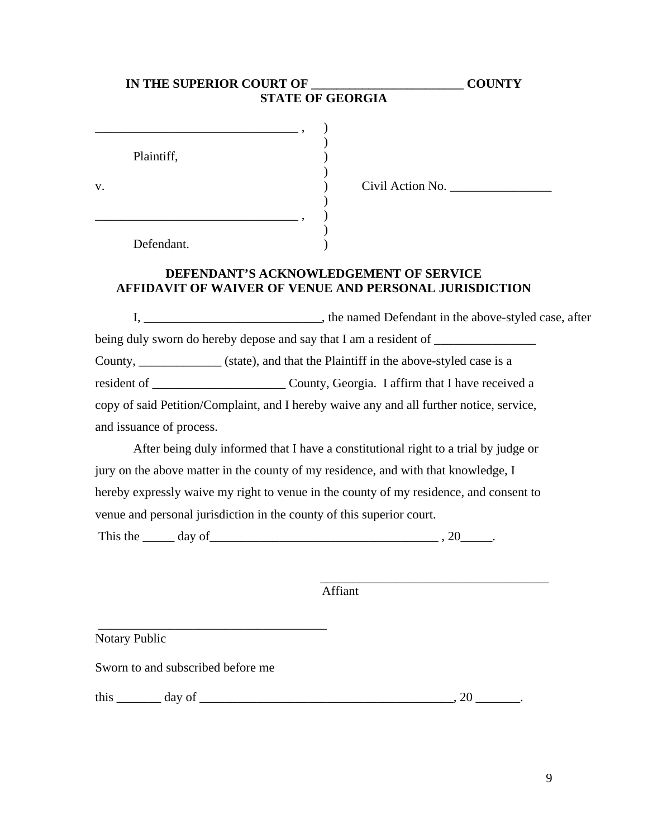| IN THE SUPERIOR COURT OF | <b>STATE OF GEORGIA</b>                | <b>COUNTY</b> |
|--------------------------|----------------------------------------|---------------|
|                          |                                        |               |
|                          |                                        |               |
| Plaintiff,               |                                        |               |
| v.                       | Civil Action No.                       |               |
|                          |                                        |               |
| Defendant.               |                                        |               |
|                          | DEFENDANT'S ACKNOWLEDGEMENT OF SERVICE |               |

 $\blacksquare$   $\blacksquare$   $\blacksquare$   $\blacksquare$   $\blacksquare$   $\blacksquare$   $\blacksquare$   $\blacksquare$   $\blacksquare$   $\blacksquare$   $\blacksquare$   $\blacksquare$   $\blacksquare$   $\blacksquare$   $\blacksquare$   $\blacksquare$   $\blacksquare$   $\blacksquare$   $\blacksquare$   $\blacksquare$   $\blacksquare$   $\blacksquare$   $\blacksquare$   $\blacksquare$   $\blacksquare$   $\blacksquare$   $\blacksquare$   $\blacksquare$   $\blacksquare$   $\blacksquare$   $\blacksquare$   $\blacks$ 

# **AFFIDAVIT OF WAIVER OF VENUE AND PERSONAL JURISDICTION**

I, \_\_\_\_\_\_\_\_\_\_\_\_\_\_\_\_\_\_\_\_\_\_, the named Defendant in the above-styled case, after being duly sworn do hereby depose and say that I am a resident of \_\_\_\_\_\_\_\_\_\_\_\_\_\_\_ County, \_\_\_\_\_\_\_\_\_\_\_\_\_ (state), and that the Plaintiff in the above-styled case is a resident of \_\_\_\_\_\_\_\_\_\_\_\_\_\_\_\_\_\_\_\_\_ County, Georgia. I affirm that I have received a copy of said Petition/Complaint, and I hereby waive any and all further notice, service, and issuance of process.

After being duly informed that I have a constitutional right to a trial by judge or jury on the above matter in the county of my residence, and with that knowledge, I hereby expressly waive my right to venue in the county of my residence, and consent to venue and personal jurisdiction in the county of this superior court.

This the  $\_\_\_$  day of  $\_\_\_\_\_\_\_$ .

Affiant

Notary Public

Sworn to and subscribed before me

this \_\_\_\_\_\_\_ day of \_\_\_\_\_\_\_\_\_\_\_\_\_\_\_\_\_\_\_\_\_\_\_\_\_\_\_\_\_\_\_\_\_\_\_\_\_\_\_\_, 20 \_\_\_\_\_\_\_.

\_\_\_\_\_\_\_\_\_\_\_\_\_\_\_\_\_\_\_\_\_\_\_\_\_\_\_\_\_\_\_\_\_\_\_\_

\_\_\_\_\_\_\_\_\_\_\_\_\_\_\_\_\_\_\_\_\_\_\_\_\_\_\_\_\_\_\_\_\_\_\_\_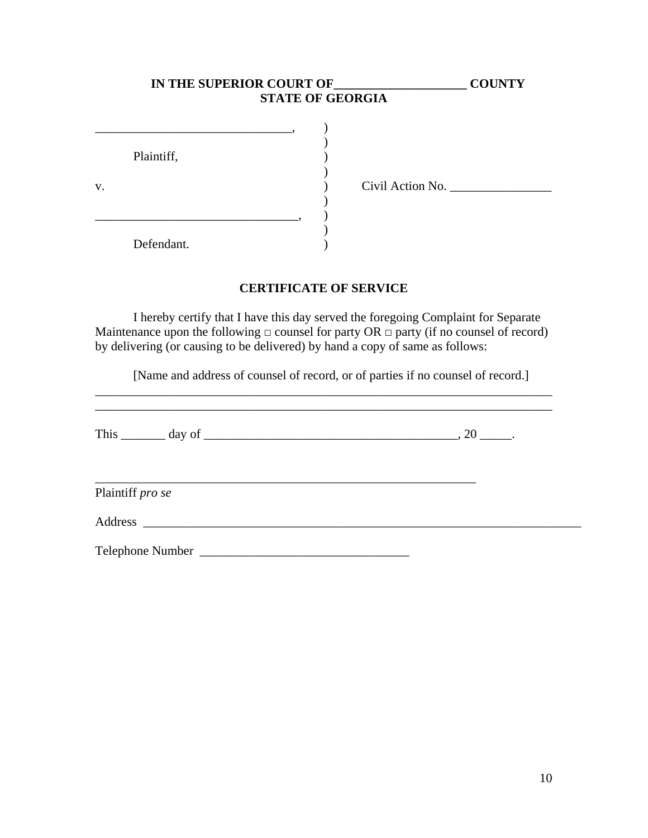|    |            | IN THE SUPERIOR COURT OF<br><b>STATE OF GEORGIA</b> | <b>COUNTY</b> |
|----|------------|-----------------------------------------------------|---------------|
|    | Plaintiff, |                                                     |               |
| v. |            | Civil Action No.                                    |               |
|    | Defendant. |                                                     |               |

# **CERTIFICATE OF SERVICE**

 I hereby certify that I have this day served the foregoing Complaint for Separate Maintenance upon the following  $\Box$  counsel for party OR  $\Box$  party (if no counsel of record) by delivering (or causing to be delivered) by hand a copy of same as follows:

[Name and address of counsel of record, or of parties if no counsel of record.]

\_\_\_\_\_\_\_\_\_\_\_\_\_\_\_\_\_\_\_\_\_\_\_\_\_\_\_\_\_\_\_\_\_\_\_\_\_\_\_\_\_\_\_\_\_\_\_\_\_\_\_\_\_\_\_\_\_\_\_\_\_\_\_\_\_\_\_\_\_\_\_\_

|                  | This $\_\_\_\_$ day of $\_\_\_\_\_\_\_$ day of $\_\_\_\_\_\_\_$ . |
|------------------|-------------------------------------------------------------------|
| Plaintiff pro se |                                                                   |
|                  |                                                                   |
|                  |                                                                   |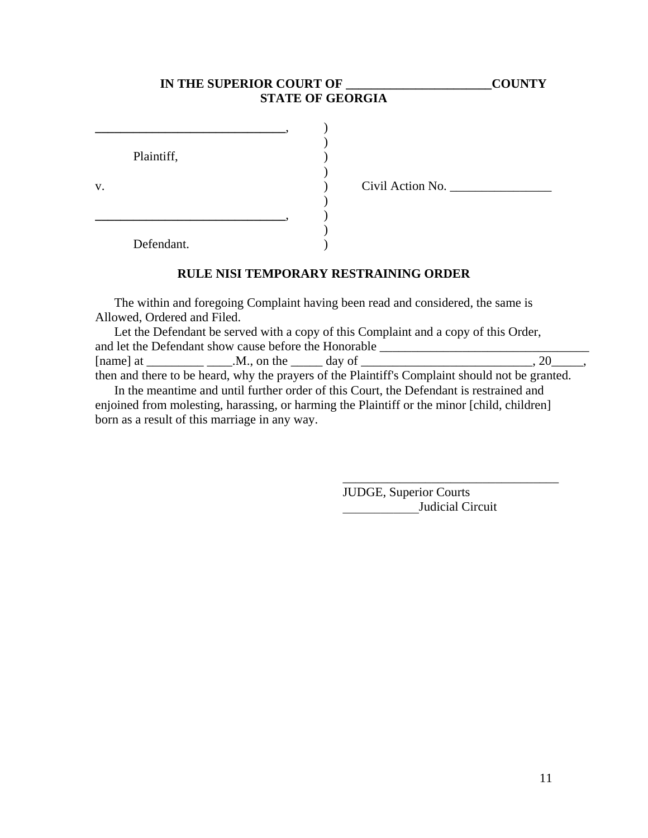# IN THE SUPERIOR COURT OF **WE COUNTY STATE OF GEORGIA**

|    | Plaintiff, |  |
|----|------------|--|
|    |            |  |
| v. |            |  |
|    |            |  |
|    |            |  |
|    |            |  |
|    | Defendant. |  |

v. ) Civil Action No. \_\_\_\_\_\_\_\_\_\_\_\_\_\_\_\_

**RULE NISI TEMPORARY RESTRAINING ORDER** 

The within and foregoing Complaint having been read and considered, the same is Allowed, Ordered and Filed.

Let the Defendant be served with a copy of this Complaint and a copy of this Order, and let the Defendant show cause before the Honorable \_\_\_\_\_\_\_\_\_\_\_\_\_\_\_\_\_\_\_\_\_\_\_\_\_\_ [name] at \_\_\_\_\_\_\_\_\_ \_\_\_\_.M., on the \_\_\_\_\_ day of \_\_\_\_\_\_\_\_\_\_\_\_\_\_\_\_\_\_\_\_\_\_\_\_\_\_\_, 20\_\_\_\_\_, then and there to be heard, why the prayers of the Plaintiff's Complaint should not be granted.

In the meantime and until further order of this Court, the Defendant is restrained and enjoined from molesting, harassing, or harming the Plaintiff or the minor [child, children] born as a result of this marriage in any way.

 $\overline{\phantom{a}}$  , which is a set of the set of the set of the set of the set of the set of the set of the set of the set of the set of the set of the set of the set of the set of the set of the set of the set of the set of th JUDGE, Superior Courts Judicial Circuit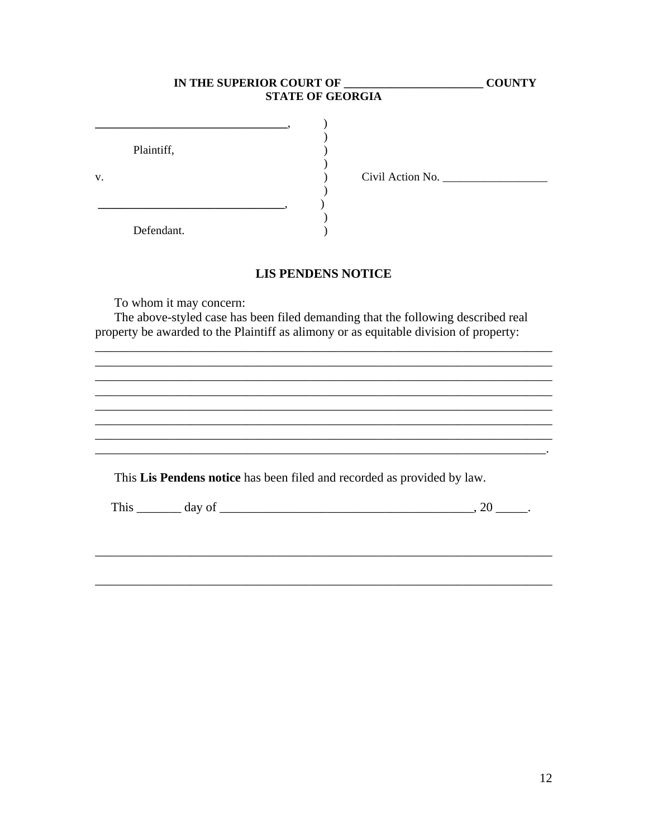|                          | IN THE SUPERIOR COURT OF |                           | <b>COUNTY</b>                                                                                                                                                             |
|--------------------------|--------------------------|---------------------------|---------------------------------------------------------------------------------------------------------------------------------------------------------------------------|
|                          |                          | <b>STATE OF GEORGIA</b>   |                                                                                                                                                                           |
| Plaintiff,<br>Defendant. |                          |                           |                                                                                                                                                                           |
|                          |                          | <b>LIS PENDENS NOTICE</b> |                                                                                                                                                                           |
|                          | To whom it may concern:  |                           | The above-styled case has been filed demanding that the following described real<br>property be awarded to the Plaintiff as alimony or as equitable division of property: |
|                          |                          |                           |                                                                                                                                                                           |
|                          |                          |                           |                                                                                                                                                                           |
|                          |                          |                           | This Lis Pendens notice has been filed and recorded as provided by law.                                                                                                   |
|                          |                          |                           | This $\_\_\_\_$ day of $\_\_\_\_\_\_\_$ day of $\_\_\_\_\_\_\_\_$                                                                                                         |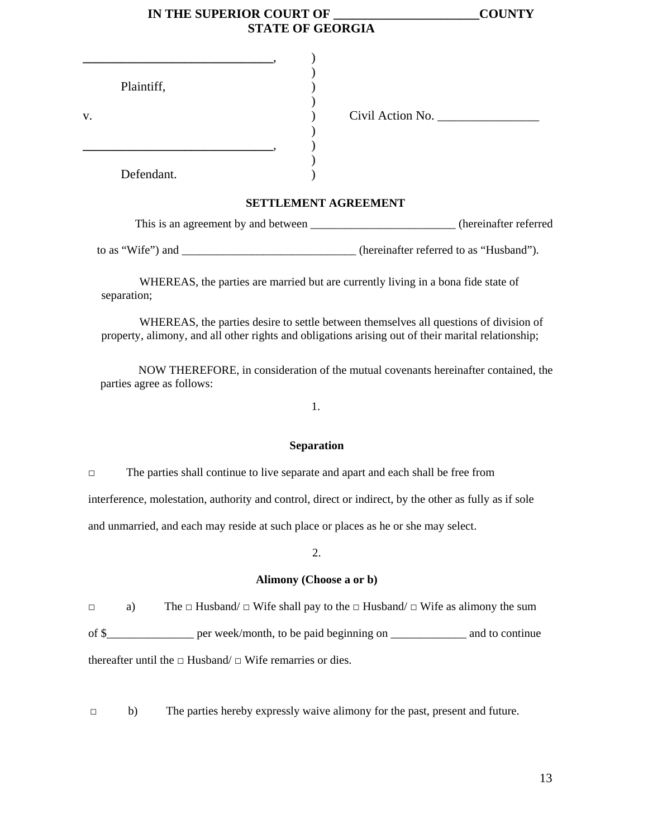| IN THE SUPERIOR COURT OF | <b>COUNTY</b> |
|--------------------------|---------------|
| <b>STATE OF GEORGIA</b>  |               |

|    | Plaintiff, |                  |
|----|------------|------------------|
| V. |            | Civil Action No. |
|    |            |                  |
|    |            |                  |
|    |            |                  |
|    | Defendant. |                  |

## **SETTLEMENT AGREEMENT**

| This is an agreement by and between | (hereinafter referred)                  |
|-------------------------------------|-----------------------------------------|
|                                     |                                         |
| to as "Wife") and                   | (hereinafter referred to as "Husband"). |

 WHEREAS, the parties are married but are currently living in a bona fide state of separation;

 WHEREAS, the parties desire to settle between themselves all questions of division of property, alimony, and all other rights and obligations arising out of their marital relationship;

 NOW THEREFORE, in consideration of the mutual covenants hereinafter contained, the parties agree as follows:

1.

## **Separation**

□ The parties shall continue to live separate and apart and each shall be free from

interference, molestation, authority and control, direct or indirect, by the other as fully as if sole

and unmarried, and each may reside at such place or places as he or she may select.

## 2.

## **Alimony (Choose a or b)**

 $\Box$  a) The  $\Box$  Husband/  $\Box$  Wife shall pay to the  $\Box$  Husband/  $\Box$  Wife as alimony the sum of \$\_\_\_\_\_\_\_\_\_\_\_\_\_\_\_ per week/month, to be paid beginning on \_\_\_\_\_\_\_\_\_\_\_\_\_ and to continue thereafter until the  $\Box$  Husband/  $\Box$  Wife remarries or dies.

□ b) The parties hereby expressly waive alimony for the past, present and future.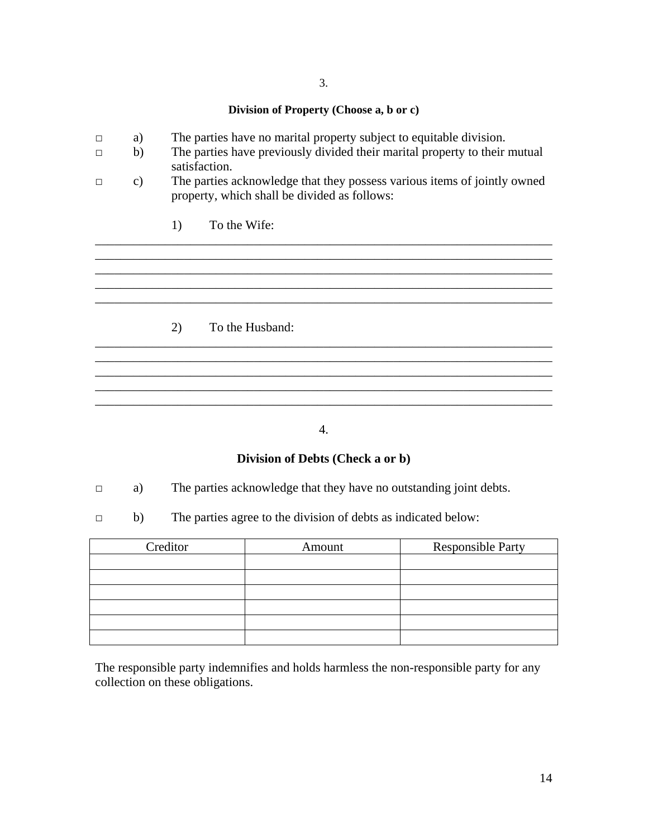# **Division of Property (Choose a, b or c)**

- □ a) The parties have no marital property subject to equitable division.
- □ b) The parties have previously divided their marital property to their mutual satisfaction.
- □ c) The parties acknowledge that they possess various items of jointly owned property, which shall be divided as follows:

\_\_\_\_\_\_\_\_\_\_\_\_\_\_\_\_\_\_\_\_\_\_\_\_\_\_\_\_\_\_\_\_\_\_\_\_\_\_\_\_\_\_\_\_\_\_\_\_\_\_\_\_\_\_\_\_\_\_\_\_\_\_\_\_\_\_\_\_\_\_\_\_

\_\_\_\_\_\_\_\_\_\_\_\_\_\_\_\_\_\_\_\_\_\_\_\_\_\_\_\_\_\_\_\_\_\_\_\_\_\_\_\_\_\_\_\_\_\_\_\_\_\_\_\_\_\_\_\_\_\_\_\_\_\_\_\_\_\_\_\_\_\_\_\_

\_\_\_\_\_\_\_\_\_\_\_\_\_\_\_\_\_\_\_\_\_\_\_\_\_\_\_\_\_\_\_\_\_\_\_\_\_\_\_\_\_\_\_\_\_\_\_\_\_\_\_\_\_\_\_\_\_\_\_\_\_\_\_\_\_\_\_\_\_\_\_\_ \_\_\_\_\_\_\_\_\_\_\_\_\_\_\_\_\_\_\_\_\_\_\_\_\_\_\_\_\_\_\_\_\_\_\_\_\_\_\_\_\_\_\_\_\_\_\_\_\_\_\_\_\_\_\_\_\_\_\_\_\_\_\_\_\_\_\_\_\_\_\_\_ \_\_\_\_\_\_\_\_\_\_\_\_\_\_\_\_\_\_\_\_\_\_\_\_\_\_\_\_\_\_\_\_\_\_\_\_\_\_\_\_\_\_\_\_\_\_\_\_\_\_\_\_\_\_\_\_\_\_\_\_\_\_\_\_\_\_\_\_\_\_\_\_

 $\mathcal{L}_\mathcal{L} = \{ \mathcal{L}_\mathcal{L} = \{ \mathcal{L}_\mathcal{L} = \{ \mathcal{L}_\mathcal{L} = \{ \mathcal{L}_\mathcal{L} = \{ \mathcal{L}_\mathcal{L} = \{ \mathcal{L}_\mathcal{L} = \{ \mathcal{L}_\mathcal{L} = \{ \mathcal{L}_\mathcal{L} = \{ \mathcal{L}_\mathcal{L} = \{ \mathcal{L}_\mathcal{L} = \{ \mathcal{L}_\mathcal{L} = \{ \mathcal{L}_\mathcal{L} = \{ \mathcal{L}_\mathcal{L} = \{ \mathcal{L}_\mathcal{$ 

1) To the Wife:

2) To the Husband:

## 4.

\_\_\_\_\_\_\_\_\_\_\_\_\_\_\_\_\_\_\_\_\_\_\_\_\_\_\_\_\_\_\_\_\_\_\_\_\_\_\_\_\_\_\_\_\_\_\_\_\_\_\_\_\_\_\_\_\_\_\_\_\_\_\_\_\_\_\_\_\_\_\_\_

# **Division of Debts (Check a or b)**

- □ a) The parties acknowledge that they have no outstanding joint debts.
- □ b) The parties agree to the division of debts as indicated below:

| Creditor | Amount | <b>Responsible Party</b> |
|----------|--------|--------------------------|
|          |        |                          |
|          |        |                          |
|          |        |                          |
|          |        |                          |
|          |        |                          |
|          |        |                          |

The responsible party indemnifies and holds harmless the non-responsible party for any collection on these obligations.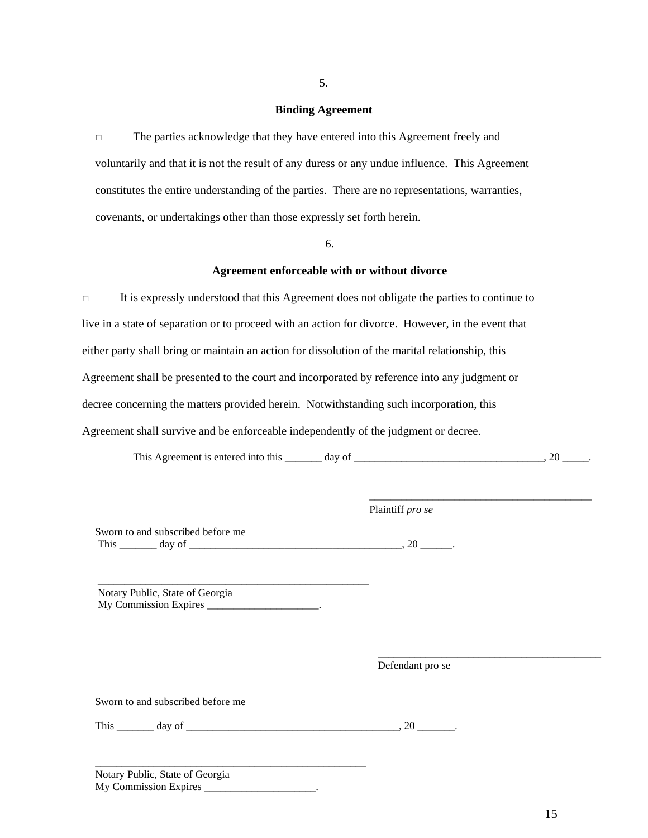### **Binding Agreement**

**□** The parties acknowledge that they have entered into this Agreement freely and voluntarily and that it is not the result of any duress or any undue influence. This Agreement constitutes the entire understanding of the parties. There are no representations, warranties, covenants, or undertakings other than those expressly set forth herein.

## 6.

#### **Agreement enforceable with or without divorce**

□ It is expressly understood that this Agreement does not obligate the parties to continue to live in a state of separation or to proceed with an action for divorce. However, in the event that either party shall bring or maintain an action for dissolution of the marital relationship, this Agreement shall be presented to the court and incorporated by reference into any judgment or decree concerning the matters provided herein. Notwithstanding such incorporation, this Agreement shall survive and be enforceable independently of the judgment or decree.

This Agreement is entered into this \_\_\_\_\_\_\_ day of \_\_\_\_\_\_\_\_\_\_\_\_\_\_\_\_\_\_\_\_\_\_\_\_\_\_\_\_\_, 20 \_\_\_\_\_.

 $\overline{\phantom{a}}$  , and the contract of the contract of the contract of the contract of the contract of the contract of the contract of the contract of the contract of the contract of the contract of the contract of the contrac

| Sworn to and subscribed before me<br>This $\_\_\_\_$ day of $\_\_\_\_\_\_\_\_$ |  |  |
|--------------------------------------------------------------------------------|--|--|
| Notary Public, State of Georgia                                                |  |  |

Defendant pro se

Plaintiff *pro se* 

\_\_\_\_\_\_\_\_\_\_\_\_\_\_\_\_\_\_\_\_\_\_\_\_\_\_\_\_\_\_\_\_\_\_\_\_\_\_\_\_\_\_

Sworn to and subscribed before me

| 1 h <sub>18</sub> | day of |  |
|-------------------|--------|--|
|                   |        |  |

 $\overline{0}$ ,  $20$   $\overline{0}$ 

Notary Public, State of Georgia My Commission Expires \_\_\_\_\_\_\_\_\_\_\_\_\_\_\_\_\_\_\_\_\_.

\_\_\_\_\_\_\_\_\_\_\_\_\_\_\_\_\_\_\_\_\_\_\_\_\_\_\_\_\_\_\_\_\_\_\_\_\_\_\_\_\_\_\_\_\_\_\_\_\_\_\_

5.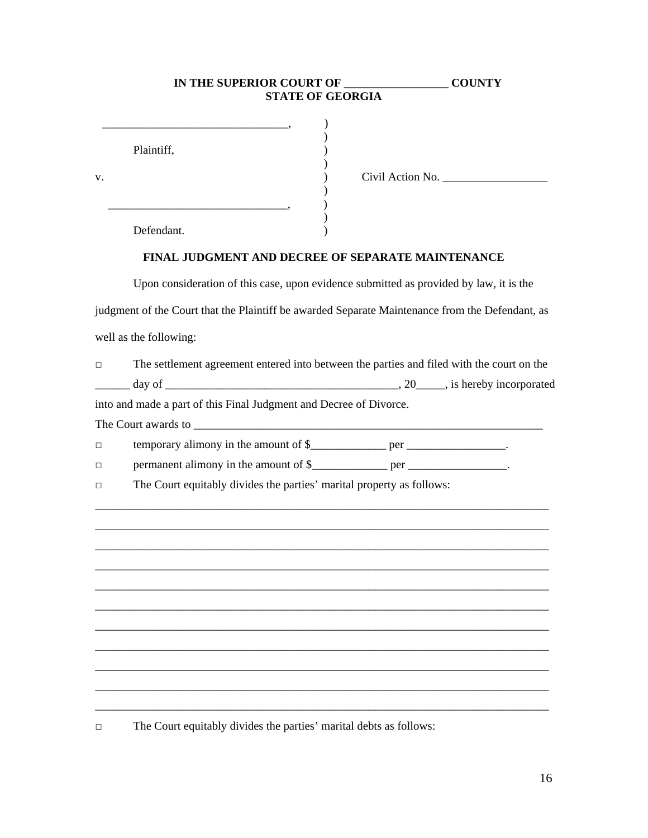# **IN THE SUPERIOR COURT OF \_\_\_\_\_\_\_\_\_\_\_\_\_\_\_\_\_\_ COUNTY STATE OF GEORGIA**

|    | Plaintiff, |                  |
|----|------------|------------------|
| V. |            | Civil Action No. |
|    |            |                  |
|    | Defendant. |                  |

## **FINAL JUDGMENT AND DECREE OF SEPARATE MAINTENANCE**

 Upon consideration of this case, upon evidence submitted as provided by law, it is the judgment of the Court that the Plaintiff be awarded Separate Maintenance from the Defendant, as well as the following:

| $\Box$ | The settlement agreement entered into between the parties and filed with the court on the |                               |
|--------|-------------------------------------------------------------------------------------------|-------------------------------|
|        | day of                                                                                    | , 20 , is hereby incorporated |
|        | into and made a part of this Final Judgment and Decree of Divorce.                        |                               |

\_\_\_\_\_\_\_\_\_\_\_\_\_\_\_\_\_\_\_\_\_\_\_\_\_\_\_\_\_\_\_\_\_\_\_\_\_\_\_\_\_\_\_\_\_\_\_\_\_\_\_\_\_\_\_\_\_\_\_\_\_\_\_\_\_\_\_\_\_\_\_\_\_\_\_\_\_\_ \_\_\_\_\_\_\_\_\_\_\_\_\_\_\_\_\_\_\_\_\_\_\_\_\_\_\_\_\_\_\_\_\_\_\_\_\_\_\_\_\_\_\_\_\_\_\_\_\_\_\_\_\_\_\_\_\_\_\_\_\_\_\_\_\_\_\_\_\_\_\_\_\_\_\_\_\_\_ \_\_\_\_\_\_\_\_\_\_\_\_\_\_\_\_\_\_\_\_\_\_\_\_\_\_\_\_\_\_\_\_\_\_\_\_\_\_\_\_\_\_\_\_\_\_\_\_\_\_\_\_\_\_\_\_\_\_\_\_\_\_\_\_\_\_\_\_\_\_\_\_\_\_\_\_\_\_ \_\_\_\_\_\_\_\_\_\_\_\_\_\_\_\_\_\_\_\_\_\_\_\_\_\_\_\_\_\_\_\_\_\_\_\_\_\_\_\_\_\_\_\_\_\_\_\_\_\_\_\_\_\_\_\_\_\_\_\_\_\_\_\_\_\_\_\_\_\_\_\_\_\_\_\_\_\_ \_\_\_\_\_\_\_\_\_\_\_\_\_\_\_\_\_\_\_\_\_\_\_\_\_\_\_\_\_\_\_\_\_\_\_\_\_\_\_\_\_\_\_\_\_\_\_\_\_\_\_\_\_\_\_\_\_\_\_\_\_\_\_\_\_\_\_\_\_\_\_\_\_\_\_\_\_\_ \_\_\_\_\_\_\_\_\_\_\_\_\_\_\_\_\_\_\_\_\_\_\_\_\_\_\_\_\_\_\_\_\_\_\_\_\_\_\_\_\_\_\_\_\_\_\_\_\_\_\_\_\_\_\_\_\_\_\_\_\_\_\_\_\_\_\_\_\_\_\_\_\_\_\_\_\_\_ \_\_\_\_\_\_\_\_\_\_\_\_\_\_\_\_\_\_\_\_\_\_\_\_\_\_\_\_\_\_\_\_\_\_\_\_\_\_\_\_\_\_\_\_\_\_\_\_\_\_\_\_\_\_\_\_\_\_\_\_\_\_\_\_\_\_\_\_\_\_\_\_\_\_\_\_\_\_ \_\_\_\_\_\_\_\_\_\_\_\_\_\_\_\_\_\_\_\_\_\_\_\_\_\_\_\_\_\_\_\_\_\_\_\_\_\_\_\_\_\_\_\_\_\_\_\_\_\_\_\_\_\_\_\_\_\_\_\_\_\_\_\_\_\_\_\_\_\_\_\_\_\_\_\_\_\_ \_\_\_\_\_\_\_\_\_\_\_\_\_\_\_\_\_\_\_\_\_\_\_\_\_\_\_\_\_\_\_\_\_\_\_\_\_\_\_\_\_\_\_\_\_\_\_\_\_\_\_\_\_\_\_\_\_\_\_\_\_\_\_\_\_\_\_\_\_\_\_\_\_\_\_\_\_\_ \_\_\_\_\_\_\_\_\_\_\_\_\_\_\_\_\_\_\_\_\_\_\_\_\_\_\_\_\_\_\_\_\_\_\_\_\_\_\_\_\_\_\_\_\_\_\_\_\_\_\_\_\_\_\_\_\_\_\_\_\_\_\_\_\_\_\_\_\_\_\_\_\_\_\_\_\_\_ \_\_\_\_\_\_\_\_\_\_\_\_\_\_\_\_\_\_\_\_\_\_\_\_\_\_\_\_\_\_\_\_\_\_\_\_\_\_\_\_\_\_\_\_\_\_\_\_\_\_\_\_\_\_\_\_\_\_\_\_\_\_\_\_\_\_\_\_\_\_\_\_\_\_\_\_\_\_

The Court awards to \_\_\_\_\_\_\_\_\_\_\_\_\_\_\_\_\_\_\_\_\_\_\_\_\_\_\_\_\_\_\_\_\_\_\_\_\_\_\_\_\_\_\_\_\_\_\_\_\_\_\_\_\_\_\_\_\_\_\_\_

|  | temporary alimony in the amount of \$ | ner |  |
|--|---------------------------------------|-----|--|
|  |                                       |     |  |

| permanent alimony in the amount of \$<br>ner |  |
|----------------------------------------------|--|
|----------------------------------------------|--|

□ The Court equitably divides the parties' marital property as follows:

□ The Court equitably divides the parties' marital debts as follows: